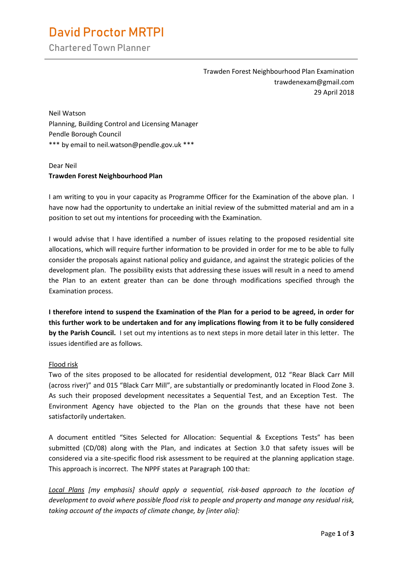# **David Proctor MRTPI**

Chartered Town Planner

Trawden Forest Neighbourhood Plan Examination trawdenexam@gmail.com 29 April 2018

Neil Watson Planning, Building Control and Licensing Manager Pendle Borough Council \*\*\* by email to neil.watson@pendle.gov.uk \*\*\*

## Dear Neil **Trawden Forest Neighbourhood Plan**

I am writing to you in your capacity as Programme Officer for the Examination of the above plan. I have now had the opportunity to undertake an initial review of the submitted material and am in a position to set out my intentions for proceeding with the Examination.

I would advise that I have identified a number of issues relating to the proposed residential site allocations, which will require further information to be provided in order for me to be able to fully consider the proposals against national policy and guidance, and against the strategic policies of the development plan. The possibility exists that addressing these issues will result in a need to amend the Plan to an extent greater than can be done through modifications specified through the Examination process.

**I therefore intend to suspend the Examination of the Plan for a period to be agreed, in order for this further work to be undertaken and for any implications flowing from it to be fully considered by the Parish Council.** I set out my intentions as to next steps in more detail later in this letter. The issues identified are as follows.

## Flood risk

Two of the sites proposed to be allocated for residential development, 012 "Rear Black Carr Mill (across river)" and 015 "Black Carr Mill", are substantially or predominantly located in Flood Zone 3. As such their proposed development necessitates a Sequential Test, and an Exception Test. The Environment Agency have objected to the Plan on the grounds that these have not been satisfactorily undertaken.

A document entitled "Sites Selected for Allocation: Sequential & Exceptions Tests" has been submitted (CD/08) along with the Plan, and indicates at Section 3.0 that safety issues will be considered via a site-specific flood risk assessment to be required at the planning application stage. This approach is incorrect. The NPPF states at Paragraph 100 that:

*Local Plans [my emphasis] should apply a sequential, risk-based approach to the location of development to avoid where possible flood risk to people and property and manage any residual risk, taking account of the impacts of climate change, by [inter alia]:*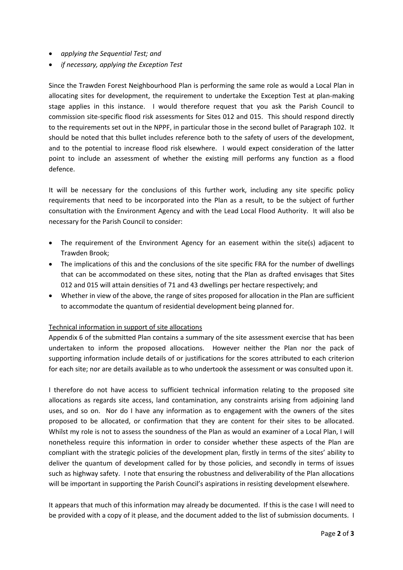- *applying the Sequential Test; and*
- *if necessary, applying the Exception Test*

Since the Trawden Forest Neighbourhood Plan is performing the same role as would a Local Plan in allocating sites for development, the requirement to undertake the Exception Test at plan-making stage applies in this instance. I would therefore request that you ask the Parish Council to commission site-specific flood risk assessments for Sites 012 and 015. This should respond directly to the requirements set out in the NPPF, in particular those in the second bullet of Paragraph 102. It should be noted that this bullet includes reference both to the safety of users of the development, and to the potential to increase flood risk elsewhere. I would expect consideration of the latter point to include an assessment of whether the existing mill performs any function as a flood defence.

It will be necessary for the conclusions of this further work, including any site specific policy requirements that need to be incorporated into the Plan as a result, to be the subject of further consultation with the Environment Agency and with the Lead Local Flood Authority. It will also be necessary for the Parish Council to consider:

- The requirement of the Environment Agency for an easement within the site(s) adjacent to Trawden Brook;
- The implications of this and the conclusions of the site specific FRA for the number of dwellings that can be accommodated on these sites, noting that the Plan as drafted envisages that Sites 012 and 015 will attain densities of 71 and 43 dwellings per hectare respectively; and
- Whether in view of the above, the range of sites proposed for allocation in the Plan are sufficient to accommodate the quantum of residential development being planned for.

#### Technical information in support of site allocations

Appendix 6 of the submitted Plan contains a summary of the site assessment exercise that has been undertaken to inform the proposed allocations. However neither the Plan nor the pack of supporting information include details of or justifications for the scores attributed to each criterion for each site; nor are details available as to who undertook the assessment or was consulted upon it.

I therefore do not have access to sufficient technical information relating to the proposed site allocations as regards site access, land contamination, any constraints arising from adjoining land uses, and so on. Nor do I have any information as to engagement with the owners of the sites proposed to be allocated, or confirmation that they are content for their sites to be allocated. Whilst my role is not to assess the soundness of the Plan as would an examiner of a Local Plan, I will nonetheless require this information in order to consider whether these aspects of the Plan are compliant with the strategic policies of the development plan, firstly in terms of the sites' ability to deliver the quantum of development called for by those policies, and secondly in terms of issues such as highway safety. I note that ensuring the robustness and deliverability of the Plan allocations will be important in supporting the Parish Council's aspirations in resisting development elsewhere.

It appears that much of this information may already be documented. If this is the case I will need to be provided with a copy of it please, and the document added to the list of submission documents. I